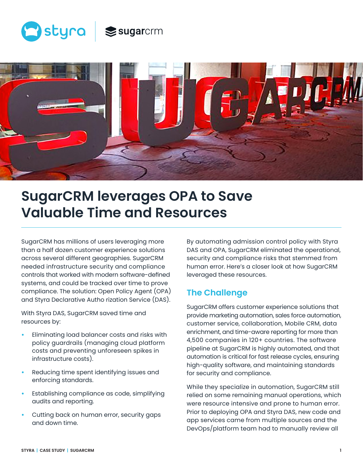



# **SugarCRM leverages OPA to Save Valuable Time and Resources**

SugarCRM has millions of users leveraging more than a half dozen customer experience solutions across several different geographies. SugarCRM needed infrastructure security and compliance controls that worked with modern software-defined systems, and could be tracked over time to prove compliance. The solution: Open Policy Agent (OPA) and Styra Declarative Autho rization Service (DAS).

With Styra DAS, SugarCRM saved time and resources by:

- **•** Eliminating load balancer costs and risks with policy guardrails (managing cloud platform costs and preventing unforeseen spikes in infrastructure costs).
- **•** Reducing time spent identifying issues and enforcing standards.
- **•** Establishing compliance as code, simplifying audits and reporting.
- **•** Cutting back on human error, security gaps and down time.

By automating admission control policy with Styra DAS and OPA, SugarCRM eliminated the operational, security and compliance risks that stemmed from human error. Here's a closer look at how SugarCRM leveraged these resources.

# **The Challenge**

SugarCRM offers customer experience solutions that provide marketing automation, sales force automation, customer service, collaboration, Mobile CRM, data enrichment, and time-aware reporting for more than 4,500 companies in 120+ countries. The software pipeline at SugarCRM is highly automated, and that automation is critical for fast release cycles, ensuring high-quality software, and maintaining standards for security and compliance.

While they specialize in automation, SugarCRM still relied on some remaining manual operations, which were resource intensive and prone to human error. Prior to deploying OPA and Styra DAS, new code and app services came from multiple sources and the DevOps/platform team had to manually review all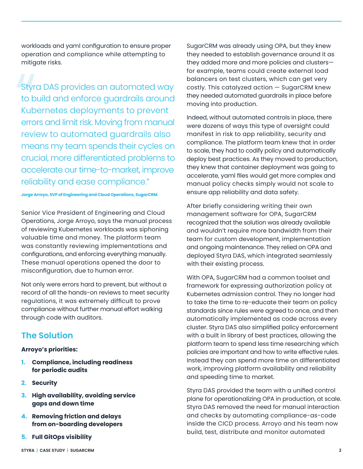workloads and yaml configuration to ensure proper operation and compliance while attempting to mitigate risks.

Styre<br>to b<br>Kub<br>erro<br>revie Styra DAS provides an automated way to build and enforce guardrails around Kubernetes deployments to prevent errors and limit risk. Moving from manual review to automated guardrails also means my team spends their cycles on crucial, more differentiated problems to accelerate our time-to-market, improve reliability and ease compliance."

**Jorge Arroyo, SVP of Engineering and Cloud Operations, SugarCRM**

Senior Vice President of Engineering and Cloud Operations, Jorge Arroyo, says the manual process of reviewing Kubernetes workloads was siphoning valuable time and money. The platform team was constantly reviewing implementations and configurations, and enforcing everything manually. These manual operations opened the door to misconfiguration, due to human error.

Not only were errors hard to prevent, but without a record of all the hands-on reviews to meet security regulations, it was extremely difficult to prove compliance without further manual effort walking through code with auditors.

### **The Solution**

### **Arroyo's priorities:**

- **1. Compliance, including readiness for periodic audits**
- **2. Security**
- **3. High availability, avoiding service gaps and down time**
- **4. Removing friction and delays from on-boarding developers**
- **5. Full GitOps visibility**

SugarCRM was already using OPA, but they knew they needed to establish governance around it as they added more and more policies and clusters for example, teams could create external load balancers on test clusters, which can get very costly. This catalyzed action — SugarCRM knew they needed automated guardrails in place before moving into production.

Indeed, without automated controls in place, there were dozens of ways this type of oversight could manifest in risk to app reliability, security and compliance. The platform team knew that in order to scale, they had to codify policy and automatically deploy best practices. As they moved to production, they knew that container deployment was going to accelerate, yaml files would get more complex and manual policy checks simply would not scale to ensure app reliability and data safety.

After briefly considering writing their own management software for OPA, SugarCRM recognized that the solution was already available and wouldn't require more bandwidth from their team for custom development, implementation and ongoing maintenance. They relied on OPA and deployed Styra DAS, which integrated seamlessly with their existing process.

With OPA, SugarCRM had a common toolset and framework for expressing authorization policy at Kubernetes admission control. They no longer had to take the time to re-educate their team on policy standards since rules were agreed to once, and then automatically implemented as code across every cluster. Styra DAS also simplified policy enforcement with a built in library of best practices, allowing the platform team to spend less time researching which policies are important and how to write effective rules. Instead they can spend more time on differentiated work, improving platform availability and reliability and speeding time to market.

Styra DAS provided the team with a unified control plane for operationalizing OPA in production, at scale. Styra DAS removed the need for manual interaction and checks by automating compliance-as-code inside the CICD process. Arroyo and his team now build, test, distribute and monitor automated